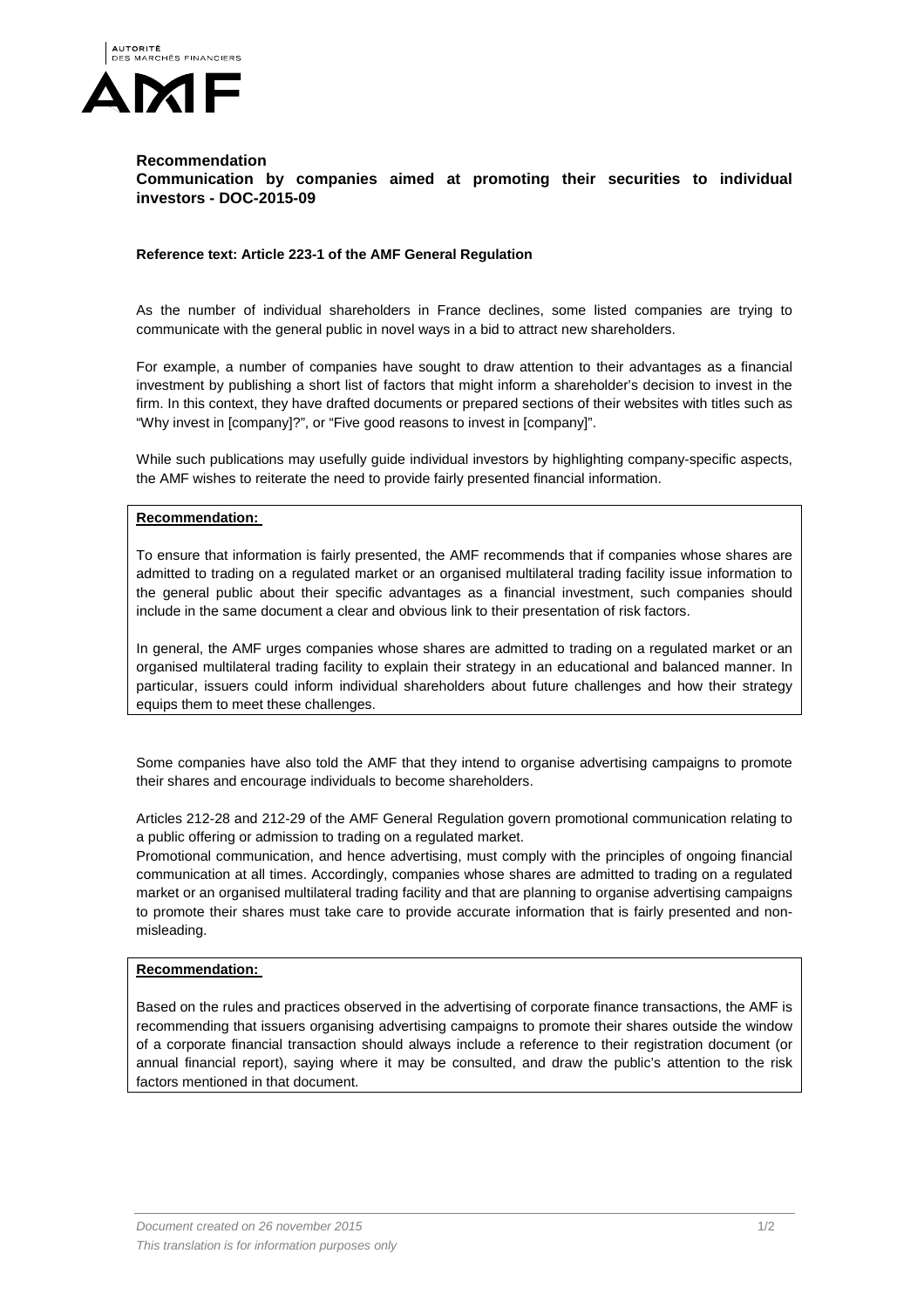

## **Recommendation Communication by companies aimed at promoting their securities to individual investors - DOC-2015-09**

## **Reference text: Article 223-1 of the AMF General Regulation**

As the number of individual shareholders in France declines, some listed companies are trying to communicate with the general public in novel ways in a bid to attract new shareholders.

For example, a number of companies have sought to draw attention to their advantages as a financial investment by publishing a short list of factors that might inform a shareholder's decision to invest in the firm. In this context, they have drafted documents or prepared sections of their websites with titles such as "Why invest in [company]?", or "Five good reasons to invest in [company]".

While such publications may usefully guide individual investors by highlighting company-specific aspects, the AMF wishes to reiterate the need to provide fairly presented financial information.

## **Recommendation:**

To ensure that information is fairly presented, the AMF recommends that if companies whose shares are admitted to trading on a regulated market or an organised multilateral trading facility issue information to the general public about their specific advantages as a financial investment, such companies should include in the same document a clear and obvious link to their presentation of risk factors.

In general, the AMF urges companies whose shares are admitted to trading on a regulated market or an organised multilateral trading facility to explain their strategy in an educational and balanced manner. In particular, issuers could inform individual shareholders about future challenges and how their strategy equips them to meet these challenges.

Some companies have also told the AMF that they intend to organise advertising campaigns to promote their shares and encourage individuals to become shareholders.

Articles 212-28 and 212-29 of the AMF General Regulation govern promotional communication relating to a public offering or admission to trading on a regulated market.

Promotional communication, and hence advertising, must comply with the principles of ongoing financial communication at all times. Accordingly, companies whose shares are admitted to trading on a regulated market or an organised multilateral trading facility and that are planning to organise advertising campaigns to promote their shares must take care to provide accurate information that is fairly presented and nonmisleading.

## **Recommendation:**

Based on the rules and practices observed in the advertising of corporate finance transactions, the AMF is recommending that issuers organising advertising campaigns to promote their shares outside the window of a corporate financial transaction should always include a reference to their registration document (or annual financial report), saying where it may be consulted, and draw the public's attention to the risk factors mentioned in that document.